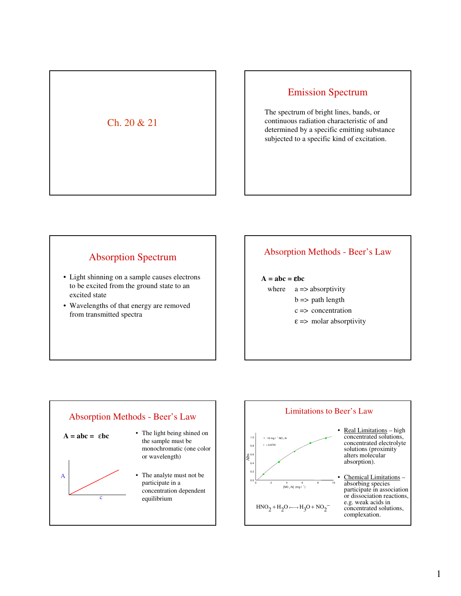# Ch. 20 & 21

# Emission Spectrum

The spectrum of bright lines, bands, or continuous radiation characteristic of and determined by a specific emitting substance subjected to a specific kind of excitation.

# Absorption Spectrum

- Light shinning on a sample causes electrons to be excited from the ground state to an excited state
- Wavelengths of that energy are removed from transmitted spectra

## Absorption Methods - Beer's Law

#### $A = abc = ebc$

- where  $a \Rightarrow$  absorptivity
	- $b \Rightarrow$  path length
	- c => concentration
	- $\epsilon$  => molar absorptivity



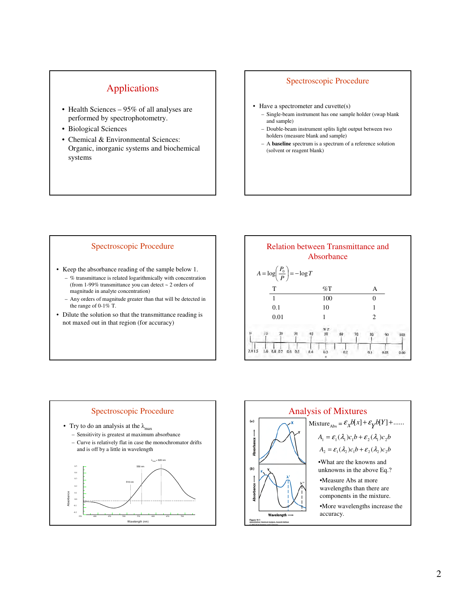# Applications

- Health Sciences 95% of all analyses are performed by spectrophotometry.
- Biological Sciences
- Chemical & Environmental Sciences: Organic, inorganic systems and biochemical systems

### Spectroscopic Procedure

- Have a spectrometer and cuvette(s)
	- Single-beam instrument has one sample holder (swap blank and sample)
	- Double-beam instrument splits light output between two holders (measure blank and sample)
	- A **baseline** spectrum is a spectrum of a reference solution (solvent or reagent blank)

#### Spectroscopic Procedure

- Keep the absorbance reading of the sample below 1.
	- % transmittance is related logarithmically with concentration (from 1-99% transmittance you can detect ~ 2 orders of magnitude in analyte concentration)
	- Any orders of magnitude greater than that will be detected in the range of 0-1% T.
- Dilute the solution so that the transmittance reading is not maxed out in that region (for accuracy)





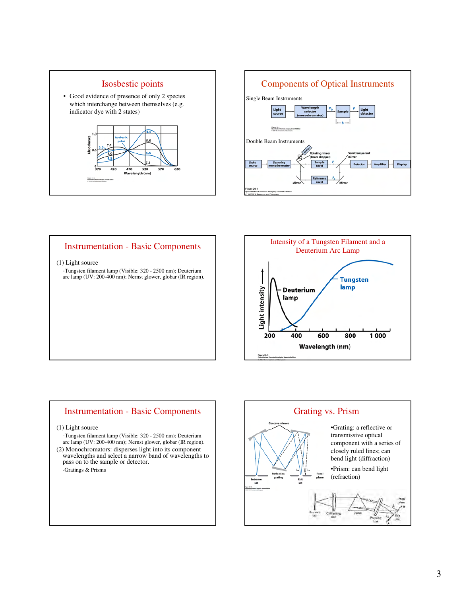



## Instrumentation - Basic Components

#### (1) Light source

-Tungsten filament lamp (Visible: 320 - 2500 nm); Deuterium arc lamp (UV: 200-400 nm); Nernst glower, globar (IR region).



## Instrumentation - Basic Components

#### (1) Light source

- -Tungsten filament lamp (Visible: 320 2500 nm); Deuterium arc lamp (UV: 200-400 nm); Nernst glower, globar (IR region).
- (2) Monochromators: disperses light into its component wavelengths and select a narrow band of wavelengths to pass on to the sample or detector. -Gratings & Prisms

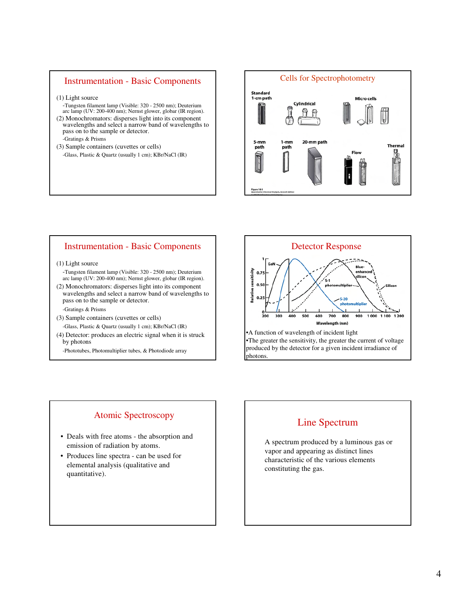### Instrumentation - Basic Components

- (1) Light source
- -Tungsten filament lamp (Visible: 320 2500 nm); Deuterium arc lamp (UV: 200-400 nm); Nernst glower, globar (IR region).
- (2) Monochromators: disperses light into its component wavelengths and select a narrow band of wavelengths to pass on to the sample or detector. -Gratings & Prisms
- (3) Sample containers (cuvettes or cells) -Glass, Plastic & Quartz (usually 1 cm); KBr/NaCl (IR)



## Instrumentation - Basic Components

#### (1) Light source

-Tungsten filament lamp (Visible: 320 - 2500 nm); Deuterium arc lamp (UV: 200-400 nm); Nernst glower, globar (IR region).

(2) Monochromators: disperses light into its component wavelengths and select a narrow band of wavelengths to pass on to the sample or detector.

#### -Gratings & Prisms

(3) Sample containers (cuvettes or cells)

-Glass, Plastic & Quartz (usually 1 cm); KBr/NaCl (IR)

- (4) Detector: produces an electric signal when it is struck by photons
	- -Phototubes, Photomultiplier tubes, & Photodiode array



## Atomic Spectroscopy

- Deals with free atoms the absorption and emission of radiation by atoms.
- Produces line spectra can be used for elemental analysis (qualitative and quantitative).

## Line Spectrum

A spectrum produced by a luminous gas or vapor and appearing as distinct lines characteristic of the various elements constituting the gas.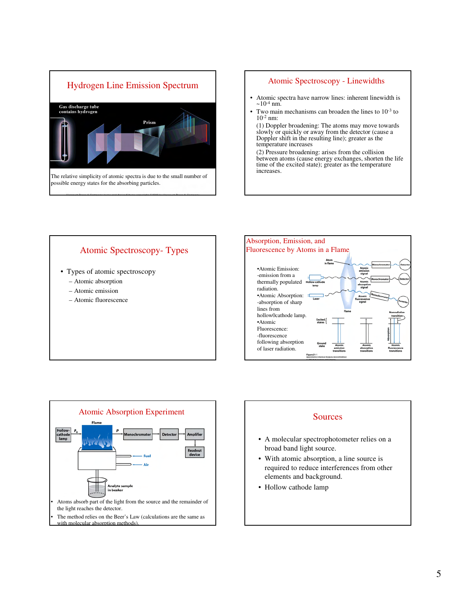

#### Atomic Spectroscopy - Linewidths

- Atomic spectra have narrow lines: inherent linewidth is  $\sim 10^{-4}$  nm.
- Two main mechanisms can broaden the lines to 10<sup>-3</sup> to  $10^{-2}$  nm:

(1) Doppler broadening: The atoms may move towards slowly or quickly or away from the detector (cause a Doppler shift in the resulting line); greater as the temperature increases

(2) Pressure broadening: arises from the collision between atoms (cause energy exchanges, shorten the life time of the excited state); greater as the temperature increases.







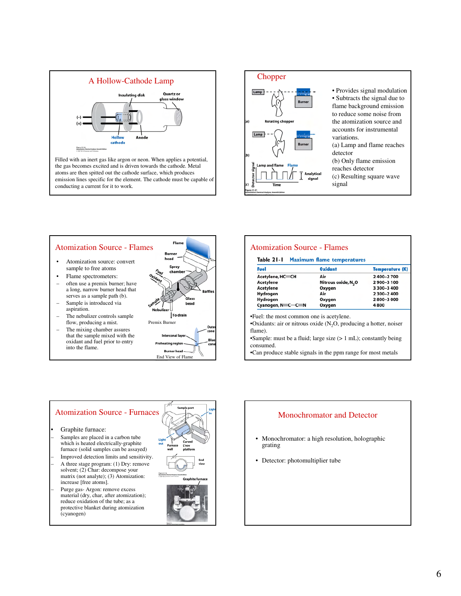

Filled with an inert gas like argon or neon. When applies a potential, the gas becomes excited and is driven towards the cathode. Metal atoms are then spitted out the cathode surface, which produces emission lines specific for the element. The cathode must be capable of conducting a current for it to work.



#### **Flame** Atomization Source - Flames Rurne • Atomization source: convert sample to free atoms • Flame spectrometers: often use a premix burner; have a long, narrow burner head that serves as a sample path (b). ilass Sample is introduced via aspiration.  $\breve|$ To drain The nebulizer controls sample Premix Burner flow, producing a mist. The mixing chamber assures that the sample mixed with the oxidant and fuel prior to entry into the flame. **Rurner head** End View of Flame

| Fuel              | <b>Oxidant</b>                  | <b>Temperature (K)</b> |
|-------------------|---------------------------------|------------------------|
| Acetylene, HC=CH  | Air                             | 2400-2700              |
| <b>Acetylene</b>  | Nitrous oxide, N <sub>2</sub> O | 2900-3100              |
| <b>Acetylene</b>  | Oxygen                          | 3 300-3 400            |
| Hydrogen          | Air                             | 2 300-2 400            |
| Hydrogen          | Oxygen                          | 2800-3000              |
| Cyanogen, N=C-C=N | Oxygen                          | 4800                   |

•Can produce stable signals in the ppm range for most metals

#### Graphite furnace: – Samples are placed in a carbon tube which is heated electrically-graphite furnace (solid samples can be assayed) – Improved detection limits and sensitivity. – A three stage program: (1) Dry: remove solvent; (2) Char: decompose your matrix (not analyte); (3) Atomization: increase [free atoms]. – Purge gas- Argon: remove excess material (dry, char, after atomization); reduce oxidation of the tube; as a protective blanket during atomization (cyanogen) Atomization Source - Furnaces Atomization Source - Furnaces

- Monochromator: a high resolution, holographic grating
- Detector: photomultiplier tube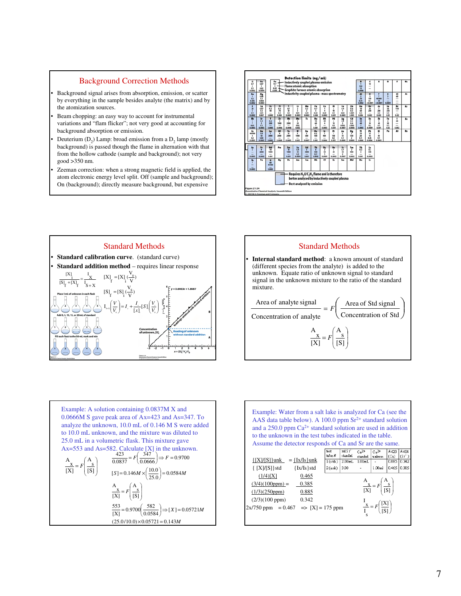#### Background Correction Methods

- Background signal arises from absorption, emission, or scatter by everything in the sample besides analyte (the matrix) and by the atomization sources.
- Beam chopping: an easy way to account for instrumental variations and "flam flicker"; not very good at accounting for background absorption or emission.
- Deuterium  $(D_2)$  Lamp: broad emission from a  $D_2$  lamp (mostly background) is passed though the flame in alternation with that from the hollow cathode (sample and background); not very good >350 nm.
- Zeeman correction: when a strong magnetic field is applied, the atom electronic energy level split. Off (sample and background); On (background); directly measure background, but expensive







Example: A solution containing 0.0837M X and 0.0666M S gave peak area of Ax=423 and As=347. To analyze the unknown, 10.0 mL of 0.146 M S were added to 10.0 mL unknown, and the mixture was diluted to 25.0 mL in a volumetric flask. This mixture gave Ax=553 and As=582. Calculate [X] in the unknown. - = [S] s A [X] x A *F M X M F MS M F F* 143.005721.0)0.10/0.25( 05721.0][ 0.0584 <sup>582</sup> 9700.0 [X] 553 [S] s A [X] x A 0584.0 0.25 0.10 146.0][ 9700.0 0.0666 347 0.0837 423 =× = - = - = = - ×= = - =

Example: Water from a salt lake is analyzed for Ca (see the AAS data table below). A 100.0 ppm  $Sr^{2+}$  standard solution and a 250.0 ppm Ca2+ standard solution are used in addition to the unknown in the test tubes indicated in the table. Assume the detector responds of Ca and Sr are the same.<br>  $\frac{\text{[tot]}}{\text{[hot]}} = \frac{\text{[tot]}}{\text{[tot]}} = \frac{\text{[tot]}}{\text{[tot]}} = \frac{\text{[tot]}}{\text{[tot]}} = \frac{\text{[tot]}}{\text{[tot]}} = \frac{\text{[tot]}}{\text{[tot]}} = \frac{\text{[tot]}}{\text{[tot]}} = \frac{\text{[tot]}}{\text{[tot]}} = \frac{\text{[tot]}}{\text{[tot]}} = \frac{\text{[tot]}}{\$  $c_3$ <sup>2+</sup> A423 A404 test<br>tube #  $\frac{(C_a)}{(0.885)} \frac{(Sr^2)}{(0.342)}$ unkwn  ${[X]/[S]}unk = {Ix/Is}unk$ 1(stds) 2.00mL 1.00mL  $\{ [X]/[S] \}$ std  $\{ Ix/Is \}$ std  $\big|1.00m1\big|$  0.465 0.385  $2$ (unk)  $300$  $(1/4)[X]$  0.465 A ſ s A  $\overline{\phantom{a}}$  $(3/4)(100ppm) = 0.385$  $\overline{\phantom{a}}$ x = *F* $(1/3)(250ppm)$  0.885 [X] [S] l - $(2/3)(100$  ppm $)$  0.342 I ſ [X] ١ x I  $2x/750$  ppm = 0.467 => [X] = 175 ppm = *F* I [S] l s